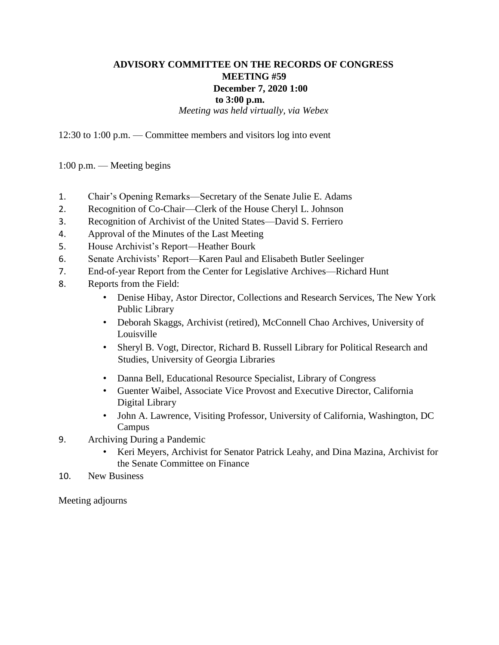## **ADVISORY COMMITTEE ON THE RECORDS OF CONGRESS MEETING #59 December 7, 2020 1:00 to 3:00 p.m.**  *Meeting was held virtually, via Webex*

12:30 to 1:00 p.m. — Committee members and visitors log into event

1:00 p.m. — Meeting begins

- 1. Chair's Opening Remarks—Secretary of the Senate Julie E. Adams
- 2. Recognition of Co-Chair—Clerk of the House Cheryl L. Johnson
- 3. Recognition of Archivist of the United States—David S. Ferriero
- 4. Approval of the Minutes of the Last Meeting
- 5. House Archivist's Report—Heather Bourk
- 6. Senate Archivists' Report—Karen Paul and Elisabeth Butler Seelinger
- 7. End-of-year Report from the Center for Legislative Archives—Richard Hunt
- 8. Reports from the Field:
	- Denise Hibay, Astor Director, Collections and Research Services, The New York Public Library
	- Deborah Skaggs, Archivist (retired), McConnell Chao Archives, University of Louisville
	- Sheryl B. Vogt, Director, Richard B. Russell Library for Political Research and Studies, University of Georgia Libraries
	- Danna Bell, Educational Resource Specialist, Library of Congress
	- Guenter Waibel, Associate Vice Provost and Executive Director, California Digital Library
	- John A. Lawrence, Visiting Professor, University of California, Washington, DC Campus
- 9. Archiving During a Pandemic
	- Keri Meyers, Archivist for Senator Patrick Leahy, and Dina Mazina, Archivist for the Senate Committee on Finance
- 10. New Business

Meeting adjourns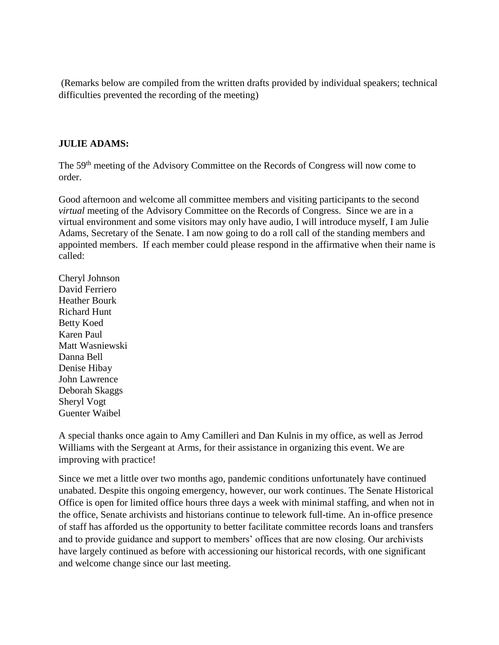(Remarks below are compiled from the written drafts provided by individual speakers; technical difficulties prevented the recording of the meeting)

#### **JULIE ADAMS:**

The 59th meeting of the Advisory Committee on the Records of Congress will now come to order.

Good afternoon and welcome all committee members and visiting participants to the second *virtual* meeting of the Advisory Committee on the Records of Congress. Since we are in a virtual environment and some visitors may only have audio, I will introduce myself, I am Julie Adams, Secretary of the Senate. I am now going to do a roll call of the standing members and appointed members. If each member could please respond in the affirmative when their name is called:

Cheryl Johnson David Ferriero Heather Bourk Richard Hunt Betty Koed Karen Paul Matt Wasniewski Danna Bell Denise Hibay John Lawrence Deborah Skaggs Sheryl Vogt Guenter Waibel

A special thanks once again to Amy Camilleri and Dan Kulnis in my office, as well as Jerrod Williams with the Sergeant at Arms, for their assistance in organizing this event. We are improving with practice!

Since we met a little over two months ago, pandemic conditions unfortunately have continued unabated. Despite this ongoing emergency, however, our work continues. The Senate Historical Office is open for limited office hours three days a week with minimal staffing, and when not in the office, Senate archivists and historians continue to telework full-time. An in-office presence of staff has afforded us the opportunity to better facilitate committee records loans and transfers and to provide guidance and support to members' offices that are now closing. Our archivists have largely continued as before with accessioning our historical records, with one significant and welcome change since our last meeting.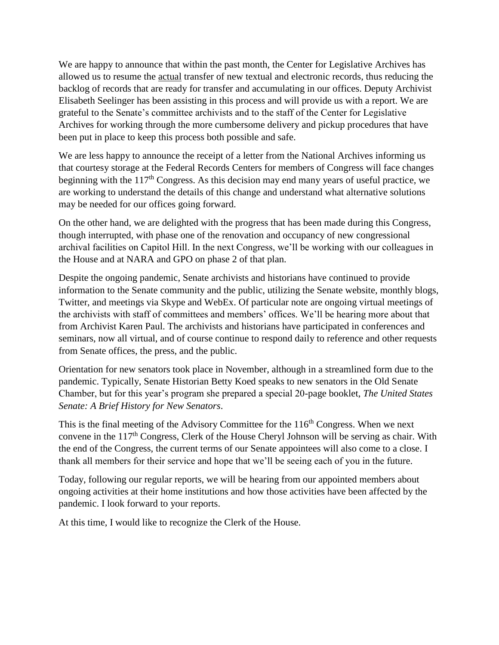We are happy to announce that within the past month, the Center for Legislative Archives has allowed us to resume the actual transfer of new textual and electronic records, thus reducing the backlog of records that are ready for transfer and accumulating in our offices. Deputy Archivist Elisabeth Seelinger has been assisting in this process and will provide us with a report. We are grateful to the Senate's committee archivists and to the staff of the Center for Legislative Archives for working through the more cumbersome delivery and pickup procedures that have been put in place to keep this process both possible and safe.

We are less happy to announce the receipt of a letter from the National Archives informing us that courtesy storage at the Federal Records Centers for members of Congress will face changes beginning with the  $117<sup>th</sup>$  Congress. As this decision may end many years of useful practice, we are working to understand the details of this change and understand what alternative solutions may be needed for our offices going forward.

On the other hand, we are delighted with the progress that has been made during this Congress, though interrupted, with phase one of the renovation and occupancy of new congressional archival facilities on Capitol Hill. In the next Congress, we'll be working with our colleagues in the House and at NARA and GPO on phase 2 of that plan.

Despite the ongoing pandemic, Senate archivists and historians have continued to provide information to the Senate community and the public, utilizing the Senate website, monthly blogs, Twitter, and meetings via Skype and WebEx. Of particular note are ongoing virtual meetings of the archivists with staff of committees and members' offices. We'll be hearing more about that from Archivist Karen Paul. The archivists and historians have participated in conferences and seminars, now all virtual, and of course continue to respond daily to reference and other requests from Senate offices, the press, and the public.

Orientation for new senators took place in November, although in a streamlined form due to the pandemic. Typically, Senate Historian Betty Koed speaks to new senators in the Old Senate Chamber, but for this year's program she prepared a special 20-page booklet, *The United States Senate: A Brief History for New Senators*.

This is the final meeting of the Advisory Committee for the  $116<sup>th</sup>$  Congress. When we next convene in the 117<sup>th</sup> Congress, Clerk of the House Cheryl Johnson will be serving as chair. With the end of the Congress, the current terms of our Senate appointees will also come to a close. I thank all members for their service and hope that we'll be seeing each of you in the future.

Today, following our regular reports, we will be hearing from our appointed members about ongoing activities at their home institutions and how those activities have been affected by the pandemic. I look forward to your reports.

At this time, I would like to recognize the Clerk of the House.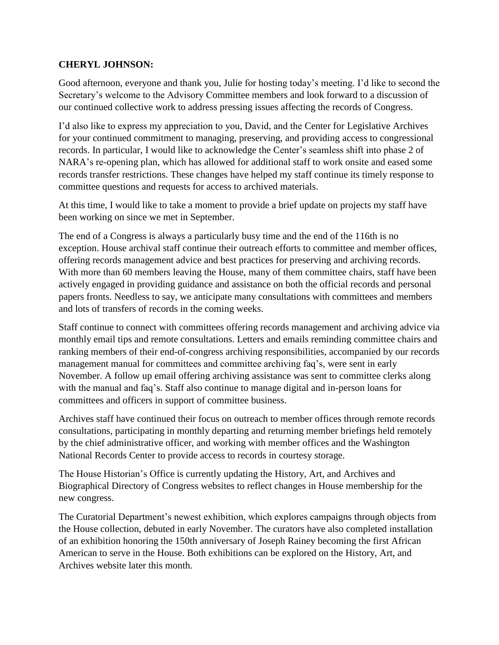## **CHERYL JOHNSON:**

Good afternoon, everyone and thank you, Julie for hosting today's meeting. I'd like to second the Secretary's welcome to the Advisory Committee members and look forward to a discussion of our continued collective work to address pressing issues affecting the records of Congress.

I'd also like to express my appreciation to you, David, and the Center for Legislative Archives for your continued commitment to managing, preserving, and providing access to congressional records. In particular, I would like to acknowledge the Center's seamless shift into phase 2 of NARA's re-opening plan, which has allowed for additional staff to work onsite and eased some records transfer restrictions. These changes have helped my staff continue its timely response to committee questions and requests for access to archived materials.

At this time, I would like to take a moment to provide a brief update on projects my staff have been working on since we met in September.

The end of a Congress is always a particularly busy time and the end of the 116th is no exception. House archival staff continue their outreach efforts to committee and member offices, offering records management advice and best practices for preserving and archiving records. With more than 60 members leaving the House, many of them committee chairs, staff have been actively engaged in providing guidance and assistance on both the official records and personal papers fronts. Needless to say, we anticipate many consultations with committees and members and lots of transfers of records in the coming weeks.

Staff continue to connect with committees offering records management and archiving advice via monthly email tips and remote consultations. Letters and emails reminding committee chairs and ranking members of their end-of-congress archiving responsibilities, accompanied by our records management manual for committees and committee archiving faq's, were sent in early November. A follow up email offering archiving assistance was sent to committee clerks along with the manual and faq's. Staff also continue to manage digital and in-person loans for committees and officers in support of committee business.

Archives staff have continued their focus on outreach to member offices through remote records consultations, participating in monthly departing and returning member briefings held remotely by the chief administrative officer, and working with member offices and the Washington National Records Center to provide access to records in courtesy storage.

The House Historian's Office is currently updating the History, Art, and Archives and Biographical Directory of Congress websites to reflect changes in House membership for the new congress.

The Curatorial Department's newest exhibition, which explores campaigns through objects from the House collection, debuted in early November. The curators have also completed installation of an exhibition honoring the 150th anniversary of Joseph Rainey becoming the first African American to serve in the House. Both exhibitions can be explored on the History, Art, and Archives website later this month.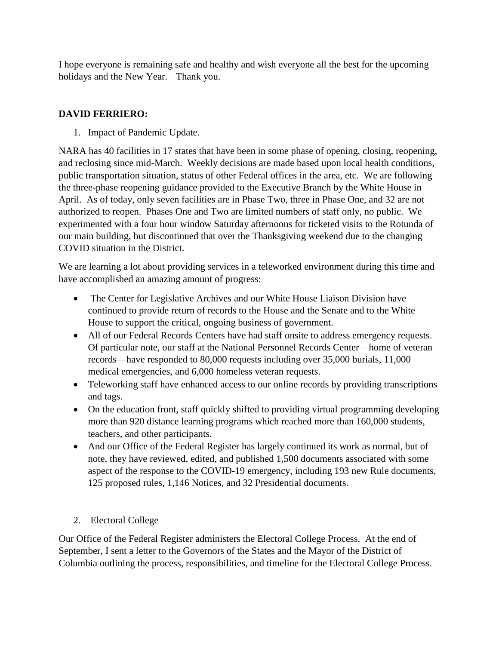I hope everyone is remaining safe and healthy and wish everyone all the best for the upcoming holidays and the New Year. Thank you.

## **DAVID FERRIERO:**

1. Impact of Pandemic Update.

NARA has 40 facilities in 17 states that have been in some phase of opening, closing, reopening, and reclosing since mid-March. Weekly decisions are made based upon local health conditions, public transportation situation, status of other Federal offices in the area, etc. We are following the three-phase reopening guidance provided to the Executive Branch by the White House in April. As of today, only seven facilities are in Phase Two, three in Phase One, and 32 are not authorized to reopen. Phases One and Two are limited numbers of staff only, no public. We experimented with a four hour window Saturday afternoons for ticketed visits to the Rotunda of our main building, but discontinued that over the Thanksgiving weekend due to the changing COVID situation in the District.

We are learning a lot about providing services in a teleworked environment during this time and have accomplished an amazing amount of progress:

- The Center for Legislative Archives and our White House Liaison Division have continued to provide return of records to the House and the Senate and to the White House to support the critical, ongoing business of government.
- All of our Federal Records Centers have had staff onsite to address emergency requests. Of particular note, our staff at the National Personnel Records Center—home of veteran records—have responded to 80,000 requests including over 35,000 burials, 11,000 medical emergencies, and 6,000 homeless veteran requests.
- Teleworking staff have enhanced access to our online records by providing transcriptions and tags.
- On the education front, staff quickly shifted to providing virtual programming developing more than 920 distance learning programs which reached more than 160,000 students, teachers, and other participants.
- And our Office of the Federal Register has largely continued its work as normal, but of note, they have reviewed, edited, and published 1,500 documents associated with some aspect of the response to the COVID-19 emergency, including 193 new Rule documents, 125 proposed rules, 1,146 Notices, and 32 Presidential documents.

# 2. Electoral College

Our Office of the Federal Register administers the Electoral College Process. At the end of September, I sent a letter to the Governors of the States and the Mayor of the District of Columbia outlining the process, responsibilities, and timeline for the Electoral College Process.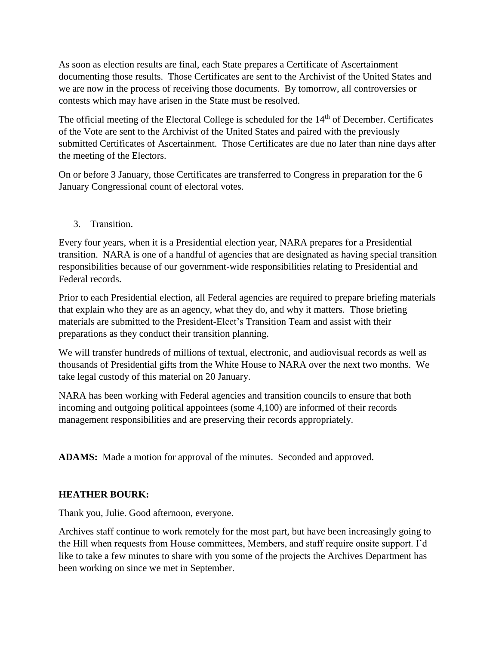As soon as election results are final, each State prepares a Certificate of Ascertainment documenting those results. Those Certificates are sent to the Archivist of the United States and we are now in the process of receiving those documents. By tomorrow, all controversies or contests which may have arisen in the State must be resolved.

The official meeting of the Electoral College is scheduled for the 14<sup>th</sup> of December. Certificates of the Vote are sent to the Archivist of the United States and paired with the previously submitted Certificates of Ascertainment. Those Certificates are due no later than nine days after the meeting of the Electors.

On or before 3 January, those Certificates are transferred to Congress in preparation for the 6 January Congressional count of electoral votes.

3. Transition.

Every four years, when it is a Presidential election year, NARA prepares for a Presidential transition. NARA is one of a handful of agencies that are designated as having special transition responsibilities because of our government-wide responsibilities relating to Presidential and Federal records.

Prior to each Presidential election, all Federal agencies are required to prepare briefing materials that explain who they are as an agency, what they do, and why it matters. Those briefing materials are submitted to the President-Elect's Transition Team and assist with their preparations as they conduct their transition planning.

We will transfer hundreds of millions of textual, electronic, and audiovisual records as well as thousands of Presidential gifts from the White House to NARA over the next two months. We take legal custody of this material on 20 January.

NARA has been working with Federal agencies and transition councils to ensure that both incoming and outgoing political appointees (some 4,100) are informed of their records management responsibilities and are preserving their records appropriately.

**ADAMS:** Made a motion for approval of the minutes. Seconded and approved.

## **HEATHER BOURK:**

Thank you, Julie. Good afternoon, everyone.

Archives staff continue to work remotely for the most part, but have been increasingly going to the Hill when requests from House committees, Members, and staff require onsite support. I'd like to take a few minutes to share with you some of the projects the Archives Department has been working on since we met in September.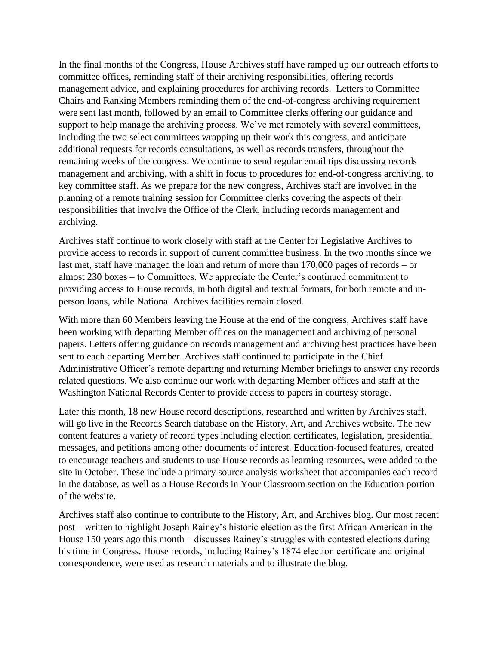In the final months of the Congress, House Archives staff have ramped up our outreach efforts to committee offices, reminding staff of their archiving responsibilities, offering records management advice, and explaining procedures for archiving records. Letters to Committee Chairs and Ranking Members reminding them of the end-of-congress archiving requirement were sent last month, followed by an email to Committee clerks offering our guidance and support to help manage the archiving process. We've met remotely with several committees, including the two select committees wrapping up their work this congress, and anticipate additional requests for records consultations, as well as records transfers, throughout the remaining weeks of the congress. We continue to send regular email tips discussing records management and archiving, with a shift in focus to procedures for end-of-congress archiving, to key committee staff. As we prepare for the new congress, Archives staff are involved in the planning of a remote training session for Committee clerks covering the aspects of their responsibilities that involve the Office of the Clerk, including records management and archiving.

Archives staff continue to work closely with staff at the Center for Legislative Archives to provide access to records in support of current committee business. In the two months since we last met, staff have managed the loan and return of more than 170,000 pages of records – or almost 230 boxes – to Committees. We appreciate the Center's continued commitment to providing access to House records, in both digital and textual formats, for both remote and inperson loans, while National Archives facilities remain closed.

With more than 60 Members leaving the House at the end of the congress, Archives staff have been working with departing Member offices on the management and archiving of personal papers. Letters offering guidance on records management and archiving best practices have been sent to each departing Member. Archives staff continued to participate in the Chief Administrative Officer's remote departing and returning Member briefings to answer any records related questions. We also continue our work with departing Member offices and staff at the Washington National Records Center to provide access to papers in courtesy storage.

Later this month, 18 new House record descriptions, researched and written by Archives staff, will go live in the Records Search database on the History, Art, and Archives website. The new content features a variety of record types including election certificates, legislation, presidential messages, and petitions among other documents of interest. Education-focused features, created to encourage teachers and students to use House records as learning resources, were added to the site in October. These include a primary source analysis worksheet that accompanies each record in the database, as well as a House Records in Your Classroom section on the Education portion of the website.

Archives staff also continue to contribute to the History, Art, and Archives blog. Our most recent post – written to highlight Joseph Rainey's historic election as the first African American in the House 150 years ago this month – discusses Rainey's struggles with contested elections during his time in Congress. House records, including Rainey's 1874 election certificate and original correspondence, were used as research materials and to illustrate the blog.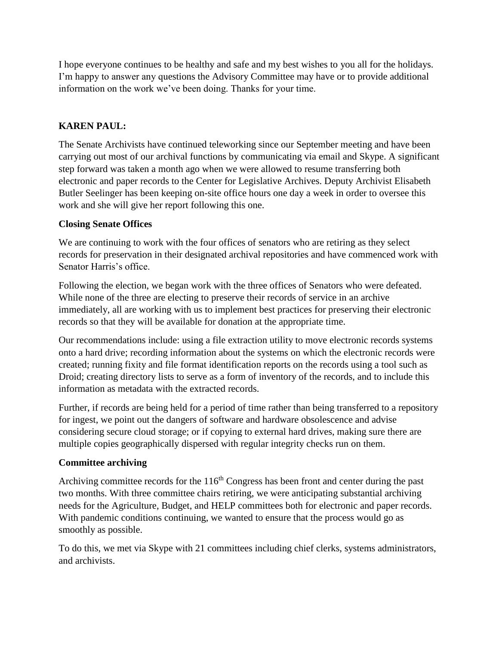I hope everyone continues to be healthy and safe and my best wishes to you all for the holidays. I'm happy to answer any questions the Advisory Committee may have or to provide additional information on the work we've been doing. Thanks for your time.

## **KAREN PAUL:**

The Senate Archivists have continued teleworking since our September meeting and have been carrying out most of our archival functions by communicating via email and Skype. A significant step forward was taken a month ago when we were allowed to resume transferring both electronic and paper records to the Center for Legislative Archives. Deputy Archivist Elisabeth Butler Seelinger has been keeping on-site office hours one day a week in order to oversee this work and she will give her report following this one.

## **Closing Senate Offices**

We are continuing to work with the four offices of senators who are retiring as they select records for preservation in their designated archival repositories and have commenced work with Senator Harris's office.

Following the election, we began work with the three offices of Senators who were defeated. While none of the three are electing to preserve their records of service in an archive immediately, all are working with us to implement best practices for preserving their electronic records so that they will be available for donation at the appropriate time.

Our recommendations include: using a file extraction utility to move electronic records systems onto a hard drive; recording information about the systems on which the electronic records were created; running fixity and file format identification reports on the records using a tool such as Droid; creating directory lists to serve as a form of inventory of the records, and to include this information as metadata with the extracted records.

Further, if records are being held for a period of time rather than being transferred to a repository for ingest, we point out the dangers of software and hardware obsolescence and advise considering secure cloud storage; or if copying to external hard drives, making sure there are multiple copies geographically dispersed with regular integrity checks run on them.

## **Committee archiving**

Archiving committee records for the  $116<sup>th</sup>$  Congress has been front and center during the past two months. With three committee chairs retiring, we were anticipating substantial archiving needs for the Agriculture, Budget, and HELP committees both for electronic and paper records. With pandemic conditions continuing, we wanted to ensure that the process would go as smoothly as possible.

To do this, we met via Skype with 21 committees including chief clerks, systems administrators, and archivists.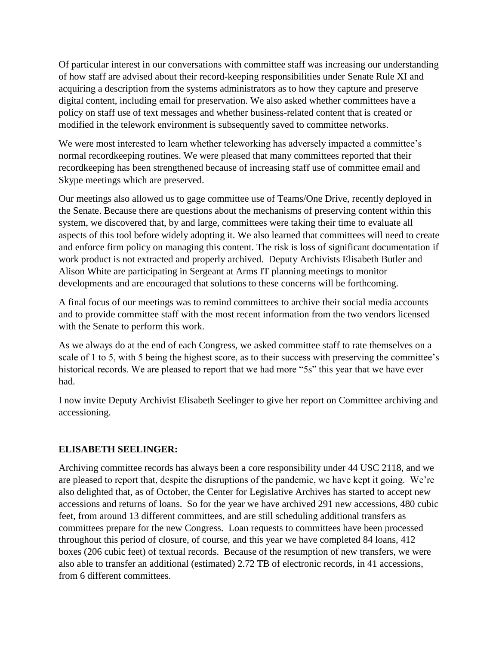Of particular interest in our conversations with committee staff was increasing our understanding of how staff are advised about their record-keeping responsibilities under Senate Rule XI and acquiring a description from the systems administrators as to how they capture and preserve digital content, including email for preservation. We also asked whether committees have a policy on staff use of text messages and whether business-related content that is created or modified in the telework environment is subsequently saved to committee networks.

We were most interested to learn whether teleworking has adversely impacted a committee's normal recordkeeping routines. We were pleased that many committees reported that their recordkeeping has been strengthened because of increasing staff use of committee email and Skype meetings which are preserved.

Our meetings also allowed us to gage committee use of Teams/One Drive, recently deployed in the Senate. Because there are questions about the mechanisms of preserving content within this system, we discovered that, by and large, committees were taking their time to evaluate all aspects of this tool before widely adopting it. We also learned that committees will need to create and enforce firm policy on managing this content. The risk is loss of significant documentation if work product is not extracted and properly archived. Deputy Archivists Elisabeth Butler and Alison White are participating in Sergeant at Arms IT planning meetings to monitor developments and are encouraged that solutions to these concerns will be forthcoming.

A final focus of our meetings was to remind committees to archive their social media accounts and to provide committee staff with the most recent information from the two vendors licensed with the Senate to perform this work.

As we always do at the end of each Congress, we asked committee staff to rate themselves on a scale of 1 to 5, with 5 being the highest score, as to their success with preserving the committee's historical records. We are pleased to report that we had more "5s" this year that we have ever had.

I now invite Deputy Archivist Elisabeth Seelinger to give her report on Committee archiving and accessioning.

## **ELISABETH SEELINGER:**

Archiving committee records has always been a core responsibility under 44 USC 2118, and we are pleased to report that, despite the disruptions of the pandemic, we have kept it going. We're also delighted that, as of October, the Center for Legislative Archives has started to accept new accessions and returns of loans. So for the year we have archived 291 new accessions, 480 cubic feet, from around 13 different committees, and are still scheduling additional transfers as committees prepare for the new Congress. Loan requests to committees have been processed throughout this period of closure, of course, and this year we have completed 84 loans, 412 boxes (206 cubic feet) of textual records. Because of the resumption of new transfers, we were also able to transfer an additional (estimated) 2.72 TB of electronic records, in 41 accessions, from 6 different committees.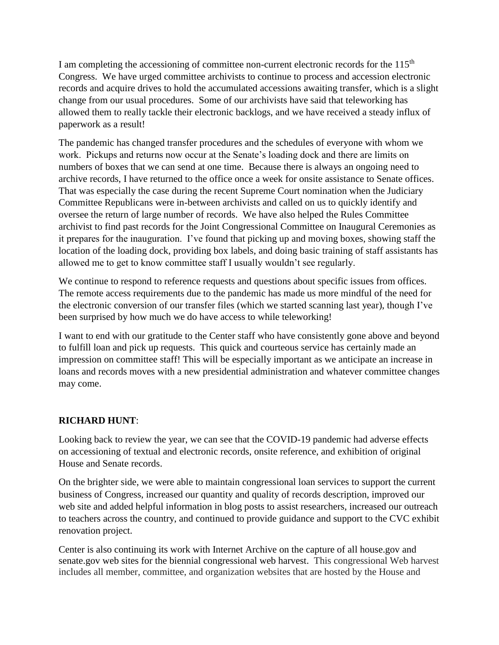I am completing the accessioning of committee non-current electronic records for the 115<sup>th</sup> Congress. We have urged committee archivists to continue to process and accession electronic records and acquire drives to hold the accumulated accessions awaiting transfer, which is a slight change from our usual procedures. Some of our archivists have said that teleworking has allowed them to really tackle their electronic backlogs, and we have received a steady influx of paperwork as a result!

The pandemic has changed transfer procedures and the schedules of everyone with whom we work. Pickups and returns now occur at the Senate's loading dock and there are limits on numbers of boxes that we can send at one time. Because there is always an ongoing need to archive records, I have returned to the office once a week for onsite assistance to Senate offices. That was especially the case during the recent Supreme Court nomination when the Judiciary Committee Republicans were in-between archivists and called on us to quickly identify and oversee the return of large number of records. We have also helped the Rules Committee archivist to find past records for the Joint Congressional Committee on Inaugural Ceremonies as it prepares for the inauguration. I've found that picking up and moving boxes, showing staff the location of the loading dock, providing box labels, and doing basic training of staff assistants has allowed me to get to know committee staff I usually wouldn't see regularly.

We continue to respond to reference requests and questions about specific issues from offices. The remote access requirements due to the pandemic has made us more mindful of the need for the electronic conversion of our transfer files (which we started scanning last year), though I've been surprised by how much we do have access to while teleworking!

I want to end with our gratitude to the Center staff who have consistently gone above and beyond to fulfill loan and pick up requests. This quick and courteous service has certainly made an impression on committee staff! This will be especially important as we anticipate an increase in loans and records moves with a new presidential administration and whatever committee changes may come.

## **RICHARD HUNT**:

Looking back to review the year, we can see that the COVID-19 pandemic had adverse effects on accessioning of textual and electronic records, onsite reference, and exhibition of original House and Senate records.

On the brighter side, we were able to maintain congressional loan services to support the current business of Congress, increased our quantity and quality of records description, improved our web site and added helpful information in blog posts to assist researchers, increased our outreach to teachers across the country, and continued to provide guidance and support to the CVC exhibit renovation project.

Center is also continuing its work with Internet Archive on the capture of all house.gov and senate.gov web sites for the biennial congressional web harvest. This congressional Web harvest includes all member, committee, and organization websites that are hosted by the House and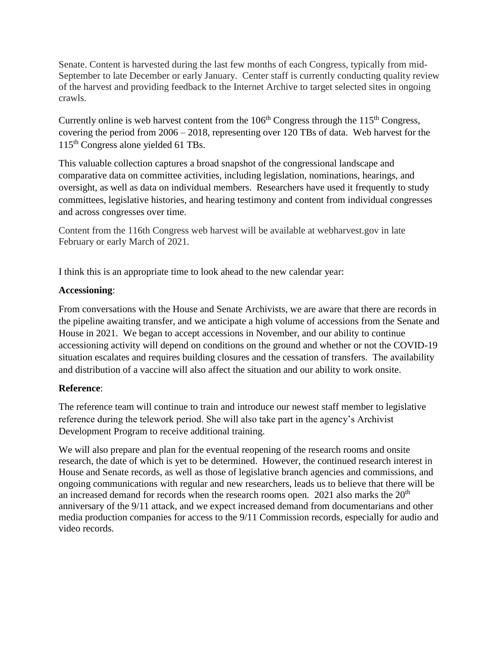Senate. Content is harvested during the last few months of each Congress, typically from mid-September to late December or early January. Center staff is currently conducting quality review of the harvest and providing feedback to the Internet Archive to target selected sites in ongoing crawls.

Currently online is web harvest content from the  $106<sup>th</sup>$  Congress through the  $115<sup>th</sup>$  Congress, covering the period from 2006 – 2018, representing over 120 TBs of data. Web harvest for the 115th Congress alone yielded 61 TBs.

This valuable collection captures a broad snapshot of the congressional landscape and comparative data on committee activities, including legislation, nominations, hearings, and oversight, as well as data on individual members. Researchers have used it frequently to study committees, legislative histories, and hearing testimony and content from individual congresses and across congresses over time.

Content from the 116th Congress web harvest will be available at webharvest.gov in late February or early March of 2021.

I think this is an appropriate time to look ahead to the new calendar year:

## **Accessioning**:

From conversations with the House and Senate Archivists, we are aware that there are records in the pipeline awaiting transfer, and we anticipate a high volume of accessions from the Senate and House in 2021. We began to accept accessions in November, and our ability to continue accessioning activity will depend on conditions on the ground and whether or not the COVID-19 situation escalates and requires building closures and the cessation of transfers. The availability and distribution of a vaccine will also affect the situation and our ability to work onsite.

## **Reference**:

The reference team will continue to train and introduce our newest staff member to legislative reference during the telework period. She will also take part in the agency's Archivist Development Program to receive additional training.

We will also prepare and plan for the eventual reopening of the research rooms and onsite research, the date of which is yet to be determined. However, the continued research interest in House and Senate records, as well as those of legislative branch agencies and commissions, and ongoing communications with regular and new researchers, leads us to believe that there will be an increased demand for records when the research rooms open. 2021 also marks the  $20<sup>th</sup>$ anniversary of the 9/11 attack, and we expect increased demand from documentarians and other media production companies for access to the 9/11 Commission records, especially for audio and video records.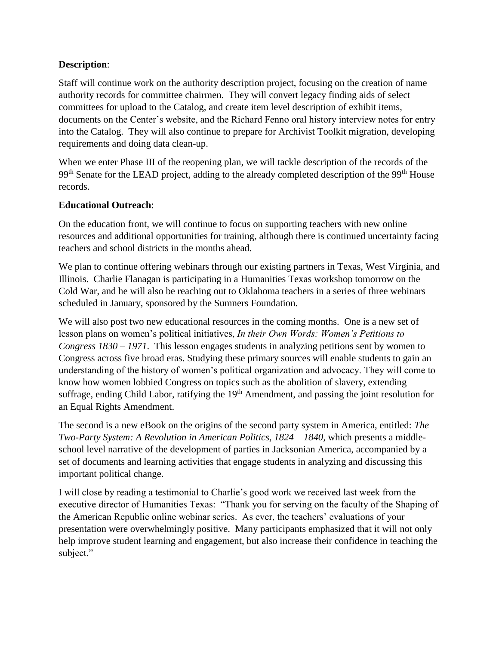## **Description**:

Staff will continue work on the authority description project, focusing on the creation of name authority records for committee chairmen. They will convert legacy finding aids of select committees for upload to the Catalog, and create item level description of exhibit items, documents on the Center's website, and the Richard Fenno oral history interview notes for entry into the Catalog. They will also continue to prepare for Archivist Toolkit migration, developing requirements and doing data clean-up.

When we enter Phase III of the reopening plan, we will tackle description of the records of the  $99<sup>th</sup>$  Senate for the LEAD project, adding to the already completed description of the  $99<sup>th</sup>$  House records.

#### **Educational Outreach**:

On the education front, we will continue to focus on supporting teachers with new online resources and additional opportunities for training, although there is continued uncertainty facing teachers and school districts in the months ahead.

We plan to continue offering webinars through our existing partners in Texas, West Virginia, and Illinois. Charlie Flanagan is participating in a Humanities Texas workshop tomorrow on the Cold War, and he will also be reaching out to Oklahoma teachers in a series of three webinars scheduled in January, sponsored by the Sumners Foundation.

We will also post two new educational resources in the coming months. One is a new set of lesson plans on women's political initiatives, *In their Own Words: Women's Petitions to Congress 1830 – 1971*. This lesson engages students in analyzing petitions sent by women to Congress across five broad eras. Studying these primary sources will enable students to gain an understanding of the history of women's political organization and advocacy. They will come to know how women lobbied Congress on topics such as the abolition of slavery, extending suffrage, ending Child Labor, ratifying the  $19<sup>th</sup>$  Amendment, and passing the joint resolution for an Equal Rights Amendment.

The second is a new eBook on the origins of the second party system in America, entitled: *The Two-Party System: A Revolution in American Politics, 1824 – 1840, which presents a middle*school level narrative of the development of parties in Jacksonian America, accompanied by a set of documents and learning activities that engage students in analyzing and discussing this important political change.

I will close by reading a testimonial to Charlie's good work we received last week from the executive director of Humanities Texas: "Thank you for serving on the faculty of the Shaping of the American Republic online webinar series. As ever, the teachers' evaluations of your presentation were overwhelmingly positive. Many participants emphasized that it will not only help improve student learning and engagement, but also increase their confidence in teaching the subject."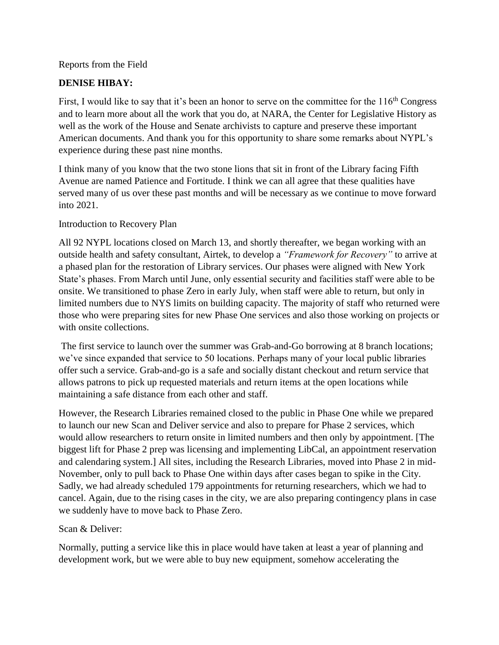Reports from the Field

## **DENISE HIBAY:**

First, I would like to say that it's been an honor to serve on the committee for the  $116<sup>th</sup>$  Congress and to learn more about all the work that you do, at NARA, the Center for Legislative History as well as the work of the House and Senate archivists to capture and preserve these important American documents. And thank you for this opportunity to share some remarks about NYPL's experience during these past nine months.

I think many of you know that the two stone lions that sit in front of the Library facing Fifth Avenue are named Patience and Fortitude. I think we can all agree that these qualities have served many of us over these past months and will be necessary as we continue to move forward into 2021.

## Introduction to Recovery Plan

All 92 NYPL locations closed on March 13, and shortly thereafter, we began working with an outside health and safety consultant, Airtek, to develop a *"Framework for Recovery"* to arrive at a phased plan for the restoration of Library services. Our phases were aligned with New York State's phases. From March until June, only essential security and facilities staff were able to be onsite. We transitioned to phase Zero in early July, when staff were able to return, but only in limited numbers due to NYS limits on building capacity. The majority of staff who returned were those who were preparing sites for new Phase One services and also those working on projects or with onsite collections.

The first service to launch over the summer was Grab-and-Go borrowing at 8 branch locations; we've since expanded that service to 50 locations. Perhaps many of your local public libraries offer such a service. Grab-and-go is a safe and socially distant checkout and return service that allows patrons to pick up requested materials and return items at the open locations while maintaining a safe distance from each other and staff.

However, the Research Libraries remained closed to the public in Phase One while we prepared to launch our new Scan and Deliver service and also to prepare for Phase 2 services, which would allow researchers to return onsite in limited numbers and then only by appointment. [The biggest lift for Phase 2 prep was licensing and implementing LibCal, an appointment reservation and calendaring system.] All sites, including the Research Libraries, moved into Phase 2 in mid-November, only to pull back to Phase One within days after cases began to spike in the City. Sadly, we had already scheduled 179 appointments for returning researchers, which we had to cancel. Again, due to the rising cases in the city, we are also preparing contingency plans in case we suddenly have to move back to Phase Zero.

## Scan & Deliver:

Normally, putting a service like this in place would have taken at least a year of planning and development work, but we were able to buy new equipment, somehow accelerating the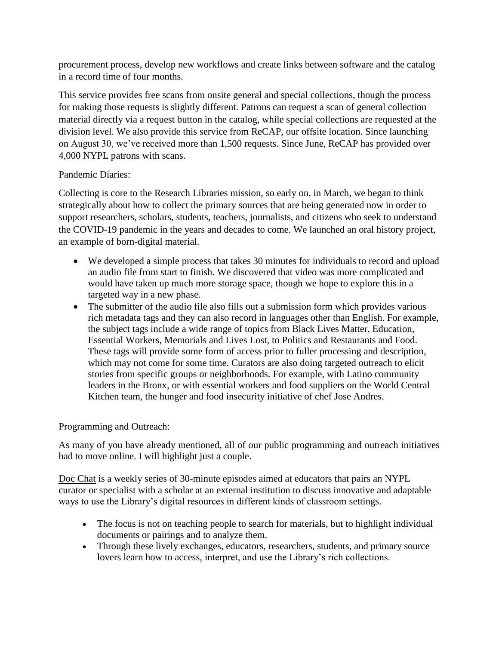procurement process, develop new workflows and create links between software and the catalog in a record time of four months.

This service provides free scans from onsite general and special collections, though the process for making those requests is slightly different. Patrons can request a scan of general collection material directly via a request button in the catalog, while special collections are requested at the division level. We also provide this service from ReCAP, our offsite location. Since launching on August 30, we've received more than 1,500 requests. Since June, ReCAP has provided over 4,000 NYPL patrons with scans.

## Pandemic Diaries:

Collecting is core to the Research Libraries mission, so early on, in March, we began to think strategically about how to collect the primary sources that are being generated now in order to support researchers, scholars, students, teachers, journalists, and citizens who seek to understand the COVID-19 pandemic in the years and decades to come. We launched an oral history project, an example of born-digital material.

- We developed a simple process that takes 30 minutes for individuals to record and upload an audio file from start to finish. We discovered that video was more complicated and would have taken up much more storage space, though we hope to explore this in a targeted way in a new phase.
- The submitter of the audio file also fills out a submission form which provides various rich metadata tags and they can also record in languages other than English. For example, the subject tags include a wide range of topics from Black Lives Matter, Education, Essential Workers, Memorials and Lives Lost, to Politics and Restaurants and Food. These tags will provide some form of access prior to fuller processing and description, which may not come for some time. Curators are also doing targeted outreach to elicit stories from specific groups or neighborhoods. For example, with Latino community leaders in the Bronx, or with essential workers and food suppliers on the World Central Kitchen team, the hunger and food insecurity initiative of chef Jose Andres.

## Programming and Outreach:

As many of you have already mentioned, all of our public programming and outreach initiatives had to move online. I will highlight just a couple.

Doc Chat is a weekly series of 30-minute episodes aimed at educators that pairs an NYPL curator or specialist with a scholar at an external institution to discuss innovative and adaptable ways to use the Library's digital resources in different kinds of classroom settings.

- The focus is not on teaching people to search for materials, but to highlight individual documents or pairings and to analyze them.
- Through these lively exchanges, educators, researchers, students, and primary source lovers learn how to access, interpret, and use the Library's rich collections.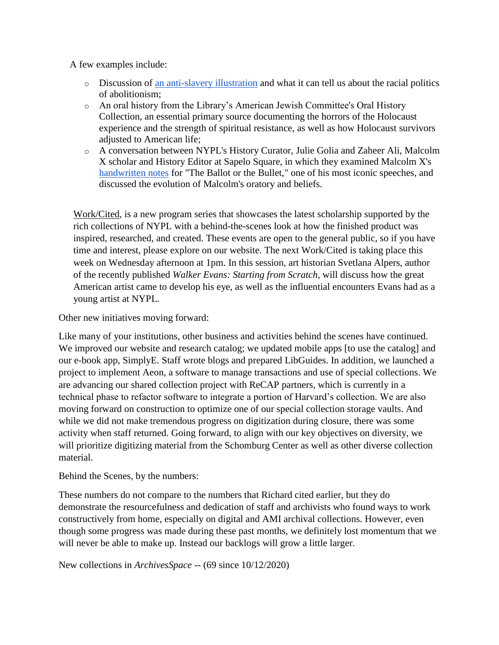A few examples include:

- o Discussion of [an anti-slavery illustration](https://digitalcollections.nypl.org/items/510d47da-7642-a3d9-e040-e00a18064a99) and what it can tell us about the racial politics of abolitionism;
- o An oral history from the Library's American Jewish Committee's Oral History Collection, an essential primary source documenting the horrors of the Holocaust experience and the strength of spiritual resistance, as well as how Holocaust survivors adjusted to American life;
- o A conversation between NYPL's History Curator, Julie Golia and Zaheer Ali, Malcolm X scholar and History Editor at Sapelo Square, in which they examined Malcolm X's [handwritten notes](https://digitalcollections.nypl.org/items/7e7481f0-37e2-0134-a1da-00505686a51c) for "The Ballot or the Bullet," one of his most iconic speeches, and discussed the evolution of Malcolm's oratory and beliefs.

Work/Cited, is a new program series that showcases the latest scholarship supported by the rich collections of NYPL with a behind-the-scenes look at how the finished product was inspired, researched, and created. These events are open to the general public, so if you have time and interest, please explore on our website. The next Work/Cited is taking place this week on Wednesday afternoon at 1pm. In this session, art historian Svetlana Alpers, author of the recently published *Walker Evans: Starting from Scratch*, will discuss how the great American artist came to develop his eye, as well as the influential encounters Evans had as a young artist at NYPL.

Other new initiatives moving forward:

Like many of your institutions, other business and activities behind the scenes have continued. We improved our website and research catalog; we updated mobile apps [to use the catalog] and our e-book app, SimplyE. Staff wrote blogs and prepared LibGuides. In addition, we launched a project to implement Aeon, a software to manage transactions and use of special collections. We are advancing our shared collection project with ReCAP partners, which is currently in a technical phase to refactor software to integrate a portion of Harvard's collection. We are also moving forward on construction to optimize one of our special collection storage vaults. And while we did not make tremendous progress on digitization during closure, there was some activity when staff returned. Going forward, to align with our key objectives on diversity, we will prioritize digitizing material from the Schomburg Center as well as other diverse collection material.

Behind the Scenes, by the numbers:

These numbers do not compare to the numbers that Richard cited earlier, but they do demonstrate the resourcefulness and dedication of staff and archivists who found ways to work constructively from home, especially on digital and AMI archival collections. However, even though some progress was made during these past months, we definitely lost momentum that we will never be able to make up. Instead our backlogs will grow a little larger.

New collections in *ArchivesSpace* -- (69 since 10/12/2020)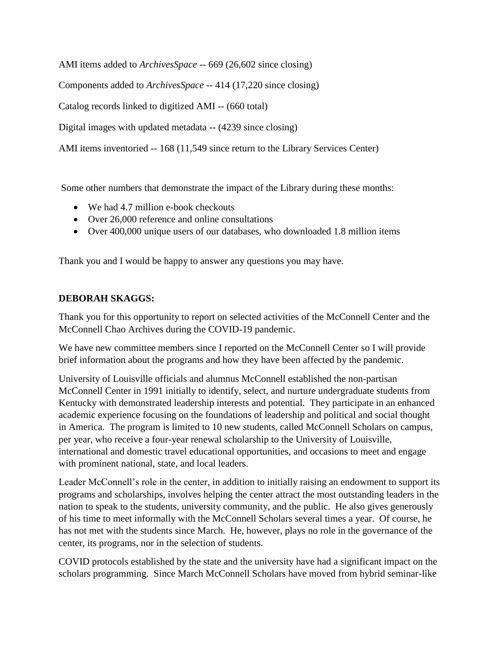AMI items added to *ArchivesSpace* -- 669 (26,602 since closing)

Components added to *ArchivesSpace* -- 414 (17,220 since closing)

Catalog records linked to digitized AMI -- (660 total)

Digital images with updated metadata -- (4239 since closing)

AMI items inventoried -- 168 (11,549 since return to the Library Services Center)

Some other numbers that demonstrate the impact of the Library during these months:

- We had 4.7 million e-book checkouts
- Over 26,000 reference and online consultations
- Over 400,000 unique users of our databases, who downloaded 1.8 million items

Thank you and I would be happy to answer any questions you may have.

## **DEBORAH SKAGGS:**

Thank you for this opportunity to report on selected activities of the McConnell Center and the McConnell Chao Archives during the COVID-19 pandemic.

We have new committee members since I reported on the McConnell Center so I will provide brief information about the programs and how they have been affected by the pandemic.

University of Louisville officials and alumnus McConnell established the non-partisan McConnell Center in 1991 initially to identify, select, and nurture undergraduate students from Kentucky with demonstrated leadership interests and potential. They participate in an enhanced academic experience focusing on the foundations of leadership and political and social thought in America. The program is limited to 10 new students, called McConnell Scholars on campus, per year, who receive a four-year renewal scholarship to the University of Louisville, international and domestic travel educational opportunities, and occasions to meet and engage with prominent national, state, and local leaders.

Leader McConnell's role in the center, in addition to initially raising an endowment to support its programs and scholarships, involves helping the center attract the most outstanding leaders in the nation to speak to the students, university community, and the public. He also gives generously of his time to meet informally with the McConnell Scholars several times a year. Of course, he has not met with the students since March. He, however, plays no role in the governance of the center, its programs, nor in the selection of students.

COVID protocols established by the state and the university have had a significant impact on the scholars programming. Since March McConnell Scholars have moved from hybrid seminar-like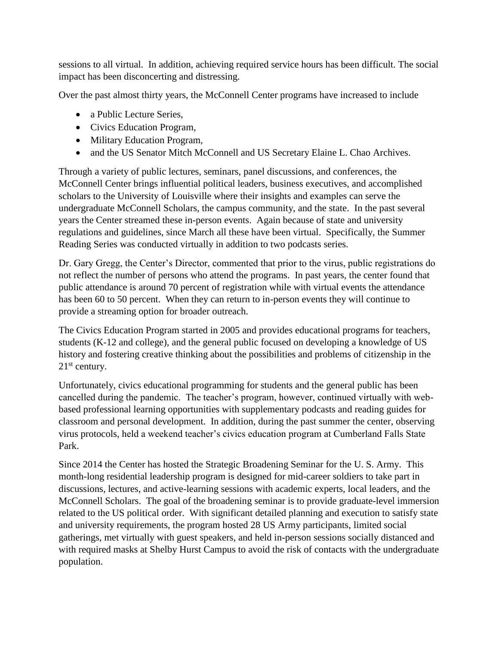sessions to all virtual. In addition, achieving required service hours has been difficult. The social impact has been disconcerting and distressing.

Over the past almost thirty years, the McConnell Center programs have increased to include

- a Public Lecture Series,
- Civics Education Program,
- Military Education Program,
- and the US Senator Mitch McConnell and US Secretary Elaine L. Chao Archives.

Through a variety of public lectures, seminars, panel discussions, and conferences, the McConnell Center brings influential political leaders, business executives, and accomplished scholars to the University of Louisville where their insights and examples can serve the undergraduate McConnell Scholars, the campus community, and the state. In the past several years the Center streamed these in-person events. Again because of state and university regulations and guidelines, since March all these have been virtual. Specifically, the Summer Reading Series was conducted virtually in addition to two podcasts series.

Dr. Gary Gregg, the Center's Director, commented that prior to the virus, public registrations do not reflect the number of persons who attend the programs. In past years, the center found that public attendance is around 70 percent of registration while with virtual events the attendance has been 60 to 50 percent. When they can return to in-person events they will continue to provide a streaming option for broader outreach.

The Civics Education Program started in 2005 and provides educational programs for teachers, students (K-12 and college), and the general public focused on developing a knowledge of US history and fostering creative thinking about the possibilities and problems of citizenship in the  $21<sup>st</sup>$  century.

Unfortunately, civics educational programming for students and the general public has been cancelled during the pandemic. The teacher's program, however, continued virtually with webbased professional learning opportunities with supplementary podcasts and reading guides for classroom and personal development. In addition, during the past summer the center, observing virus protocols, held a weekend teacher's civics education program at Cumberland Falls State Park.

Since 2014 the Center has hosted the Strategic Broadening Seminar for the U. S. Army. This month-long residential leadership program is designed for mid-career soldiers to take part in discussions, lectures, and active-learning sessions with academic experts, local leaders, and the McConnell Scholars. The goal of the broadening seminar is to provide graduate-level immersion related to the US political order. With significant detailed planning and execution to satisfy state and university requirements, the program hosted 28 US Army participants, limited social gatherings, met virtually with guest speakers, and held in-person sessions socially distanced and with required masks at Shelby Hurst Campus to avoid the risk of contacts with the undergraduate population.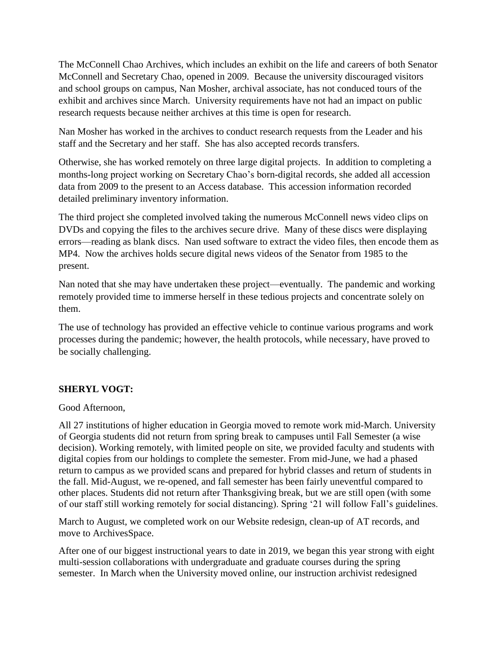The McConnell Chao Archives, which includes an exhibit on the life and careers of both Senator McConnell and Secretary Chao, opened in 2009. Because the university discouraged visitors and school groups on campus, Nan Mosher, archival associate, has not conduced tours of the exhibit and archives since March. University requirements have not had an impact on public research requests because neither archives at this time is open for research.

Nan Mosher has worked in the archives to conduct research requests from the Leader and his staff and the Secretary and her staff. She has also accepted records transfers.

Otherwise, she has worked remotely on three large digital projects. In addition to completing a months-long project working on Secretary Chao's born-digital records, she added all accession data from 2009 to the present to an Access database. This accession information recorded detailed preliminary inventory information.

The third project she completed involved taking the numerous McConnell news video clips on DVDs and copying the files to the archives secure drive. Many of these discs were displaying errors—reading as blank discs. Nan used software to extract the video files, then encode them as MP4. Now the archives holds secure digital news videos of the Senator from 1985 to the present.

Nan noted that she may have undertaken these project—eventually. The pandemic and working remotely provided time to immerse herself in these tedious projects and concentrate solely on them.

The use of technology has provided an effective vehicle to continue various programs and work processes during the pandemic; however, the health protocols, while necessary, have proved to be socially challenging.

## **SHERYL VOGT:**

#### Good Afternoon,

All 27 institutions of higher education in Georgia moved to remote work mid-March. University of Georgia students did not return from spring break to campuses until Fall Semester (a wise decision). Working remotely, with limited people on site, we provided faculty and students with digital copies from our holdings to complete the semester. From mid-June, we had a phased return to campus as we provided scans and prepared for hybrid classes and return of students in the fall. Mid-August, we re-opened, and fall semester has been fairly uneventful compared to other places. Students did not return after Thanksgiving break, but we are still open (with some of our staff still working remotely for social distancing). Spring '21 will follow Fall's guidelines.

March to August, we completed work on our Website redesign, clean-up of AT records, and move to ArchivesSpace.

After one of our biggest instructional years to date in 2019, we began this year strong with eight multi-session collaborations with undergraduate and graduate courses during the spring semester. In March when the University moved online, our instruction archivist redesigned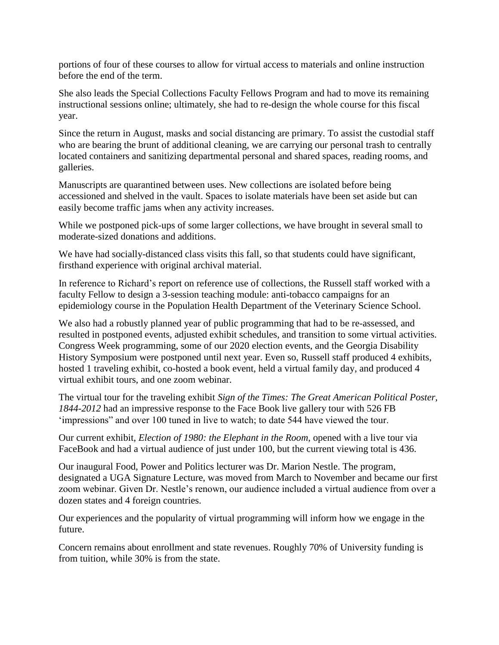portions of four of these courses to allow for virtual access to materials and online instruction before the end of the term.

She also leads the Special Collections Faculty Fellows Program and had to move its remaining instructional sessions online; ultimately, she had to re-design the whole course for this fiscal year.

Since the return in August, masks and social distancing are primary. To assist the custodial staff who are bearing the brunt of additional cleaning, we are carrying our personal trash to centrally located containers and sanitizing departmental personal and shared spaces, reading rooms, and galleries.

Manuscripts are quarantined between uses. New collections are isolated before being accessioned and shelved in the vault. Spaces to isolate materials have been set aside but can easily become traffic jams when any activity increases.

While we postponed pick-ups of some larger collections, we have brought in several small to moderate-sized donations and additions.

We have had socially-distanced class visits this fall, so that students could have significant, firsthand experience with original archival material.

In reference to Richard's report on reference use of collections, the Russell staff worked with a faculty Fellow to design a 3-session teaching module: anti-tobacco campaigns for an epidemiology course in the Population Health Department of the Veterinary Science School.

We also had a robustly planned year of public programming that had to be re-assessed, and resulted in postponed events, adjusted exhibit schedules, and transition to some virtual activities. Congress Week programming, some of our 2020 election events, and the Georgia Disability History Symposium were postponed until next year. Even so, Russell staff produced 4 exhibits, hosted 1 traveling exhibit, co-hosted a book event, held a virtual family day, and produced 4 virtual exhibit tours, and one zoom webinar.

The virtual tour for the traveling exhibit *Sign of the Times: The Great American Political Poster, 1844-2012* had an impressive response to the Face Book live gallery tour with 526 FB 'impressions" and over 100 tuned in live to watch; to date 544 have viewed the tour.

Our current exhibit, *Election of 1980: the Elephant in the Room,* opened with a live tour via FaceBook and had a virtual audience of just under 100, but the current viewing total is 436.

Our inaugural Food, Power and Politics lecturer was Dr. Marion Nestle. The program, designated a UGA Signature Lecture, was moved from March to November and became our first zoom webinar. Given Dr. Nestle's renown, our audience included a virtual audience from over a dozen states and 4 foreign countries.

Our experiences and the popularity of virtual programming will inform how we engage in the future.

Concern remains about enrollment and state revenues. Roughly 70% of University funding is from tuition, while 30% is from the state.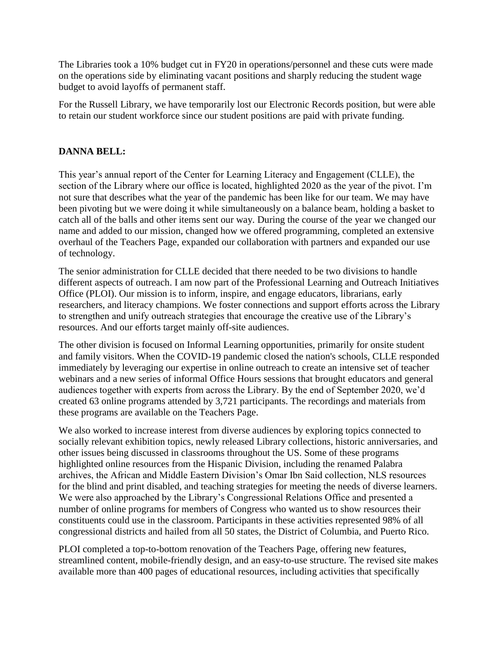The Libraries took a 10% budget cut in FY20 in operations/personnel and these cuts were made on the operations side by eliminating vacant positions and sharply reducing the student wage budget to avoid layoffs of permanent staff.

For the Russell Library, we have temporarily lost our Electronic Records position, but were able to retain our student workforce since our student positions are paid with private funding.

#### **DANNA BELL:**

This year's annual report of the Center for Learning Literacy and Engagement (CLLE), the section of the Library where our office is located, highlighted 2020 as the year of the pivot. I'm not sure that describes what the year of the pandemic has been like for our team. We may have been pivoting but we were doing it while simultaneously on a balance beam, holding a basket to catch all of the balls and other items sent our way. During the course of the year we changed our name and added to our mission, changed how we offered programming, completed an extensive overhaul of the Teachers Page, expanded our collaboration with partners and expanded our use of technology.

The senior administration for CLLE decided that there needed to be two divisions to handle different aspects of outreach. I am now part of the Professional Learning and Outreach Initiatives Office (PLOI). Our mission is to inform, inspire, and engage educators, librarians, early researchers, and literacy champions. We foster connections and support efforts across the Library to strengthen and unify outreach strategies that encourage the creative use of the Library's resources. And our efforts target mainly off-site audiences.

The other division is focused on Informal Learning opportunities, primarily for onsite student and family visitors. When the COVID-19 pandemic closed the nation's schools, CLLE responded immediately by leveraging our expertise in online outreach to create an intensive set of teacher webinars and a new series of informal Office Hours sessions that brought educators and general audiences together with experts from across the Library. By the end of September 2020, we'd created 63 online programs attended by 3,721 participants. The recordings and materials from these programs are available on the Teachers Page.

We also worked to increase interest from diverse audiences by exploring topics connected to socially relevant exhibition topics, newly released Library collections, historic anniversaries, and other issues being discussed in classrooms throughout the US. Some of these programs highlighted online resources from the Hispanic Division, including the renamed Palabra archives, the African and Middle Eastern Division's Omar Ibn Said collection, NLS resources for the blind and print disabled, and teaching strategies for meeting the needs of diverse learners. We were also approached by the Library's Congressional Relations Office and presented a number of online programs for members of Congress who wanted us to show resources their constituents could use in the classroom. Participants in these activities represented 98% of all congressional districts and hailed from all 50 states, the District of Columbia, and Puerto Rico.

PLOI completed a top-to-bottom renovation of the Teachers Page, offering new features, streamlined content, mobile-friendly design, and an easy-to-use structure. The revised site makes available more than 400 pages of educational resources, including activities that specifically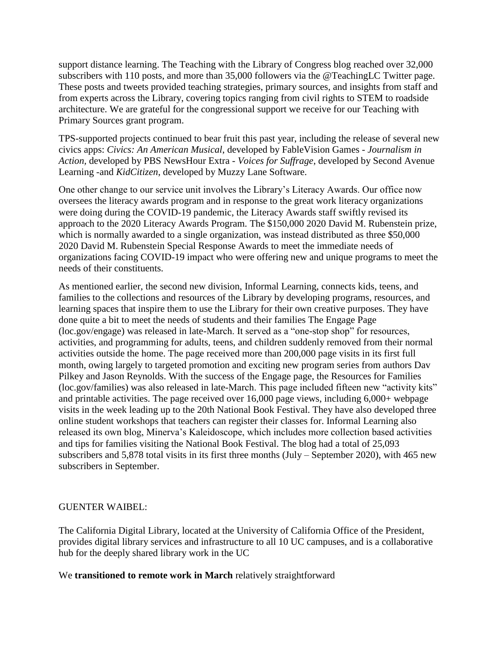support distance learning. The Teaching with the Library of Congress blog reached over 32,000 subscribers with 110 posts, and more than 35,000 followers via the @TeachingLC Twitter page. These posts and tweets provided teaching strategies, primary sources, and insights from staff and from experts across the Library, covering topics ranging from civil rights to STEM to roadside architecture. We are grateful for the congressional support we receive for our Teaching with Primary Sources grant program.

TPS-supported projects continued to bear fruit this past year, including the release of several new civics apps: *Civics: An American Musical*, developed by FableVision Games - *Journalism in Action,* developed by PBS NewsHour Extra - *Voices for Suffrage*, developed by Second Avenue Learning -and *KidCitizen*, developed by Muzzy Lane Software.

One other change to our service unit involves the Library's Literacy Awards. Our office now oversees the literacy awards program and in response to the great work literacy organizations were doing during the COVID-19 pandemic, the Literacy Awards staff swiftly revised its approach to the 2020 Literacy Awards Program. The \$150,000 2020 David M. Rubenstein prize, which is normally awarded to a single organization, was instead distributed as three \$50,000 2020 David M. Rubenstein Special Response Awards to meet the immediate needs of organizations facing COVID-19 impact who were offering new and unique programs to meet the needs of their constituents.

As mentioned earlier, the second new division, Informal Learning, connects kids, teens, and families to the collections and resources of the Library by developing programs, resources, and learning spaces that inspire them to use the Library for their own creative purposes. They have done quite a bit to meet the needs of students and their families The Engage Page (loc.gov/engage) was released in late-March. It served as a "one-stop shop" for resources, activities, and programming for adults, teens, and children suddenly removed from their normal activities outside the home. The page received more than 200,000 page visits in its first full month, owing largely to targeted promotion and exciting new program series from authors Dav Pilkey and Jason Reynolds. With the success of the Engage page, the Resources for Families (loc.gov/families) was also released in late-March. This page included fifteen new "activity kits" and printable activities. The page received over 16,000 page views, including 6,000+ webpage visits in the week leading up to the 20th National Book Festival. They have also developed three online student workshops that teachers can register their classes for. Informal Learning also released its own blog, Minerva's Kaleidoscope, which includes more collection based activities and tips for families visiting the National Book Festival. The blog had a total of 25,093 subscribers and 5,878 total visits in its first three months (July – September 2020), with 465 new subscribers in September.

#### GUENTER WAIBEL:

The California Digital Library, located at the University of California Office of the President, provides digital library services and infrastructure to all 10 UC campuses, and is a collaborative hub for the deeply shared library work in the UC

#### We **transitioned to remote work in March** relatively straightforward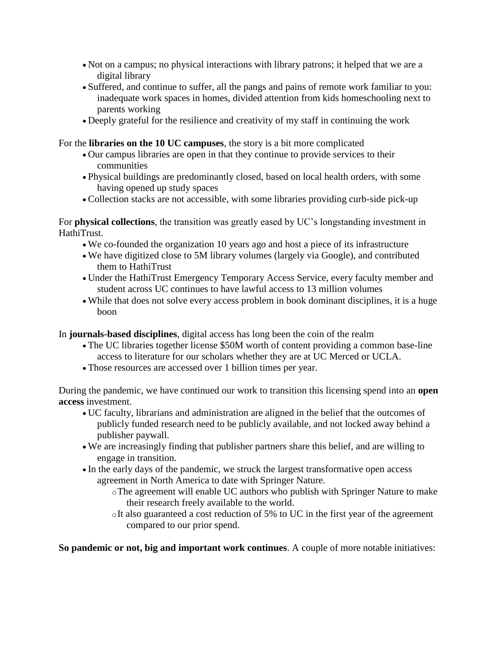- Not on a campus; no physical interactions with library patrons; it helped that we are a digital library
- Suffered, and continue to suffer, all the pangs and pains of remote work familiar to you: inadequate work spaces in homes, divided attention from kids homeschooling next to parents working
- Deeply grateful for the resilience and creativity of my staff in continuing the work

For the **libraries on the 10 UC campuses**, the story is a bit more complicated

- Our campus libraries are open in that they continue to provide services to their communities
- Physical buildings are predominantly closed, based on local health orders, with some having opened up study spaces
- Collection stacks are not accessible, with some libraries providing curb-side pick-up

For **physical collections**, the transition was greatly eased by UC's longstanding investment in HathiTrust.

- We co-founded the organization 10 years ago and host a piece of its infrastructure
- We have digitized close to 5M library volumes (largely via Google), and contributed them to HathiTrust
- Under the HathiTrust Emergency Temporary Access Service, every faculty member and student across UC continues to have lawful access to 13 million volumes
- While that does not solve every access problem in book dominant disciplines, it is a huge boon

In **journals-based disciplines**, digital access has long been the coin of the realm

- The UC libraries together license \$50M worth of content providing a common base-line access to literature for our scholars whether they are at UC Merced or UCLA.
- Those resources are accessed over 1 billion times per year.

During the pandemic, we have continued our work to transition this licensing spend into an **open access** investment.

- UC faculty, librarians and administration are aligned in the belief that the outcomes of publicly funded research need to be publicly available, and not locked away behind a publisher paywall.
- We are increasingly finding that publisher partners share this belief, and are willing to engage in transition.
- In the early days of the pandemic, we struck the largest transformative open access agreement in North America to date with Springer Nature.
	- oThe agreement will enable UC authors who publish with Springer Nature to make their research freely available to the world.
	- oIt also guaranteed a cost reduction of 5% to UC in the first year of the agreement compared to our prior spend.

**So pandemic or not, big and important work continues**. A couple of more notable initiatives: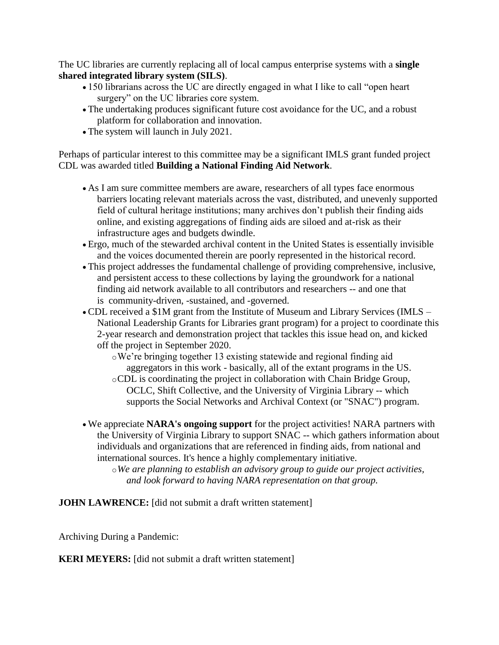The UC libraries are currently replacing all of local campus enterprise systems with a **single shared integrated library system (SILS)**.

- 150 librarians across the UC are directly engaged in what I like to call "open heart surgery" on the UC libraries core system.
- The undertaking produces significant future cost avoidance for the UC, and a robust platform for collaboration and innovation.
- The system will launch in July 2021.

Perhaps of particular interest to this committee may be a significant IMLS grant funded project CDL was awarded titled **Building a National Finding Aid Network**.

- As I am sure committee members are aware, researchers of all types face enormous barriers locating relevant materials across the vast, distributed, and unevenly supported field of cultural heritage institutions; many archives don't publish their finding aids online, and existing aggregations of finding aids are siloed and at-risk as their infrastructure ages and budgets dwindle.
- Ergo, much of the stewarded archival content in the United States is essentially invisible and the voices documented therein are poorly represented in the historical record.
- This project addresses the fundamental challenge of providing comprehensive, inclusive, and persistent access to these collections by laying the groundwork for a national finding aid network available to all contributors and researchers -- and one that is community-driven, -sustained, and -governed.
- CDL received a \$1M grant from the Institute of Museum and Library Services (IMLS National Leadership Grants for Libraries grant program) for a project to coordinate this 2-year research and demonstration project that tackles this issue head on, and kicked off the project in September 2020.
	- oWe're bringing together 13 existing statewide and regional finding aid aggregators in this work - basically, all of the extant programs in the US.
	- oCDL is coordinating the project in collaboration with Chain Bridge Group, OCLC, Shift Collective, and the University of Virginia Library -- which supports the Social Networks and Archival Context (or "SNAC") program.
- We appreciate **NARA's ongoing support** for the project activities! NARA partners with the University of Virginia Library to support SNAC -- which gathers information about individuals and organizations that are referenced in finding aids, from national and international sources. It's hence a highly complementary initiative.

o*We are planning to establish an advisory group to guide our project activities, and look forward to having NARA representation on that group.*

**JOHN LAWRENCE:** [did not submit a draft written statement]

Archiving During a Pandemic:

**KERI MEYERS:** [did not submit a draft written statement]